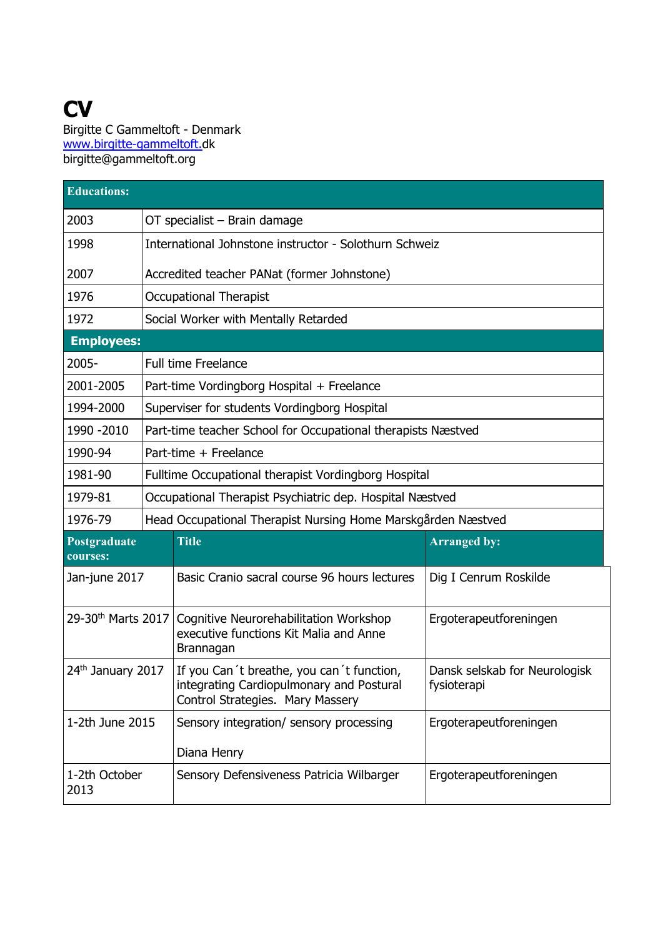## **CV**  Birgitte C Gammeltoft - Denmark www.birgitte-gammeltoft.dk birgitte@gammeltoft.org

| <b>Educations:</b>             |                                                              |                                                                                                                           |                                              |  |
|--------------------------------|--------------------------------------------------------------|---------------------------------------------------------------------------------------------------------------------------|----------------------------------------------|--|
| 2003                           | OT specialist - Brain damage                                 |                                                                                                                           |                                              |  |
| 1998                           | International Johnstone instructor - Solothurn Schweiz       |                                                                                                                           |                                              |  |
| 2007                           | Accredited teacher PANat (former Johnstone)                  |                                                                                                                           |                                              |  |
| 1976                           | <b>Occupational Therapist</b>                                |                                                                                                                           |                                              |  |
| 1972                           |                                                              | Social Worker with Mentally Retarded                                                                                      |                                              |  |
|                                | <b>Employees:</b>                                            |                                                                                                                           |                                              |  |
| 2005-                          |                                                              | <b>Full time Freelance</b>                                                                                                |                                              |  |
| 2001-2005                      |                                                              | Part-time Vordingborg Hospital + Freelance                                                                                |                                              |  |
| 1994-2000                      |                                                              | Superviser for students Vordingborg Hospital                                                                              |                                              |  |
| 1990 - 2010                    |                                                              | Part-time teacher School for Occupational therapists Næstved                                                              |                                              |  |
| 1990-94                        |                                                              | Part-time + Freelance                                                                                                     |                                              |  |
| 1981-90                        | Fulltime Occupational therapist Vordingborg Hospital         |                                                                                                                           |                                              |  |
| 1979-81                        | Occupational Therapist Psychiatric dep. Hospital Næstved     |                                                                                                                           |                                              |  |
| 1976-79                        | Head Occupational Therapist Nursing Home Marskgården Næstved |                                                                                                                           |                                              |  |
| Postgraduate<br>courses:       |                                                              | <b>Title</b>                                                                                                              | <b>Arranged by:</b>                          |  |
| Jan-june 2017                  |                                                              | Basic Cranio sacral course 96 hours lectures                                                                              | Dig I Cenrum Roskilde                        |  |
| 29-30 <sup>th</sup> Marts 2017 |                                                              | Cognitive Neurorehabilitation Workshop<br>executive functions Kit Malia and Anne<br>Brannagan                             | Ergoterapeutforeningen                       |  |
| 24th January 2017              |                                                              | If you Can't breathe, you can't function,<br>integrating Cardiopulmonary and Postural<br>Control Strategies. Mary Massery | Dansk selskab for Neurologisk<br>fysioterapi |  |
| 1-2th June 2015                |                                                              | Sensory integration/ sensory processing<br>Diana Henry                                                                    | Ergoterapeutforeningen                       |  |
| 1-2th October<br>2013          |                                                              | Sensory Defensiveness Patricia Wilbarger                                                                                  | Ergoterapeutforeningen                       |  |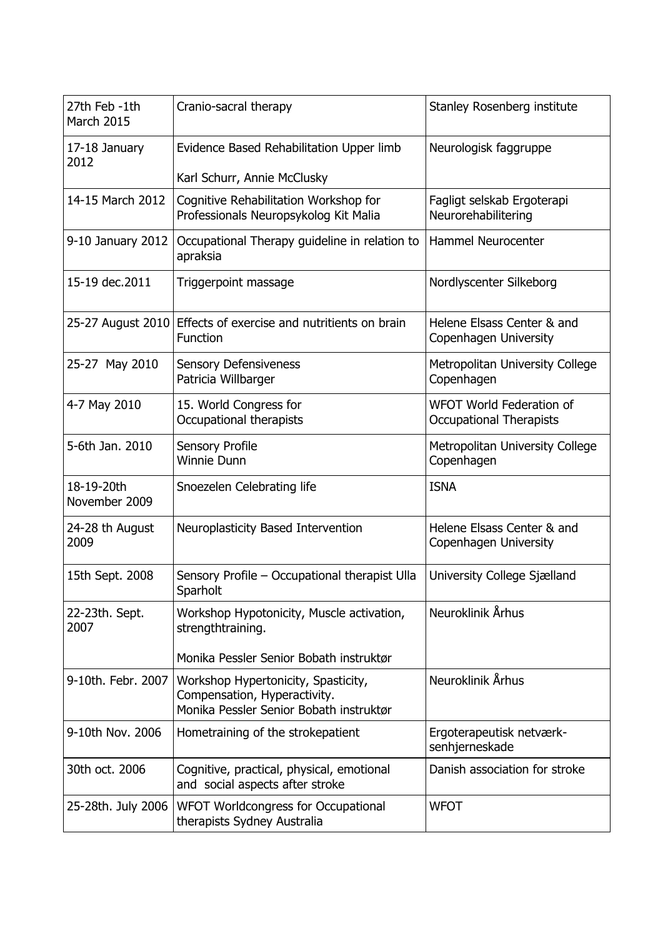| 27th Feb -1th<br>March 2015 | Cranio-sacral therapy                                                                                          | Stanley Rosenberg institute                                       |
|-----------------------------|----------------------------------------------------------------------------------------------------------------|-------------------------------------------------------------------|
| 17-18 January<br>2012       | Evidence Based Rehabilitation Upper limb                                                                       | Neurologisk faggruppe                                             |
|                             | Karl Schurr, Annie McClusky                                                                                    |                                                                   |
| 14-15 March 2012            | Cognitive Rehabilitation Workshop for<br>Professionals Neuropsykolog Kit Malia                                 | Fagligt selskab Ergoterapi<br>Neurorehabilitering                 |
| 9-10 January 2012           | Occupational Therapy guideline in relation to<br>apraksia                                                      | <b>Hammel Neurocenter</b>                                         |
| 15-19 dec.2011              | Triggerpoint massage                                                                                           | Nordlyscenter Silkeborg                                           |
| 25-27 August 2010           | Effects of exercise and nutritients on brain<br>Function                                                       | Helene Elsass Center & and<br>Copenhagen University               |
| 25-27 May 2010              | <b>Sensory Defensiveness</b><br>Patricia Willbarger                                                            | Metropolitan University College<br>Copenhagen                     |
| 4-7 May 2010                | 15. World Congress for<br>Occupational therapists                                                              | <b>WFOT World Federation of</b><br><b>Occupational Therapists</b> |
| 5-6th Jan. 2010             | Sensory Profile<br><b>Winnie Dunn</b>                                                                          | Metropolitan University College<br>Copenhagen                     |
| 18-19-20th<br>November 2009 | Snoezelen Celebrating life                                                                                     | <b>ISNA</b>                                                       |
| 24-28 th August<br>2009     | Neuroplasticity Based Intervention                                                                             | Helene Elsass Center & and<br>Copenhagen University               |
| 15th Sept. 2008             | Sensory Profile - Occupational therapist Ulla<br>Sparholt                                                      | University College Sjælland                                       |
| 22-23th. Sept.<br>2007      | Workshop Hypotonicity, Muscle activation,<br>strengthtraining.                                                 | Neuroklinik Århus                                                 |
|                             | Monika Pessler Senior Bobath instruktør                                                                        |                                                                   |
| 9-10th. Febr. 2007          | Workshop Hypertonicity, Spasticity,<br>Compensation, Hyperactivity.<br>Monika Pessler Senior Bobath instruktør | Neuroklinik Århus                                                 |
| 9-10th Nov. 2006            | Hometraining of the strokepatient                                                                              | Ergoterapeutisk netværk-<br>senhjerneskade                        |
| 30th oct. 2006              | Cognitive, practical, physical, emotional<br>and social aspects after stroke                                   | Danish association for stroke                                     |
| 25-28th. July 2006          | WFOT Worldcongress for Occupational<br>therapists Sydney Australia                                             | <b>WFOT</b>                                                       |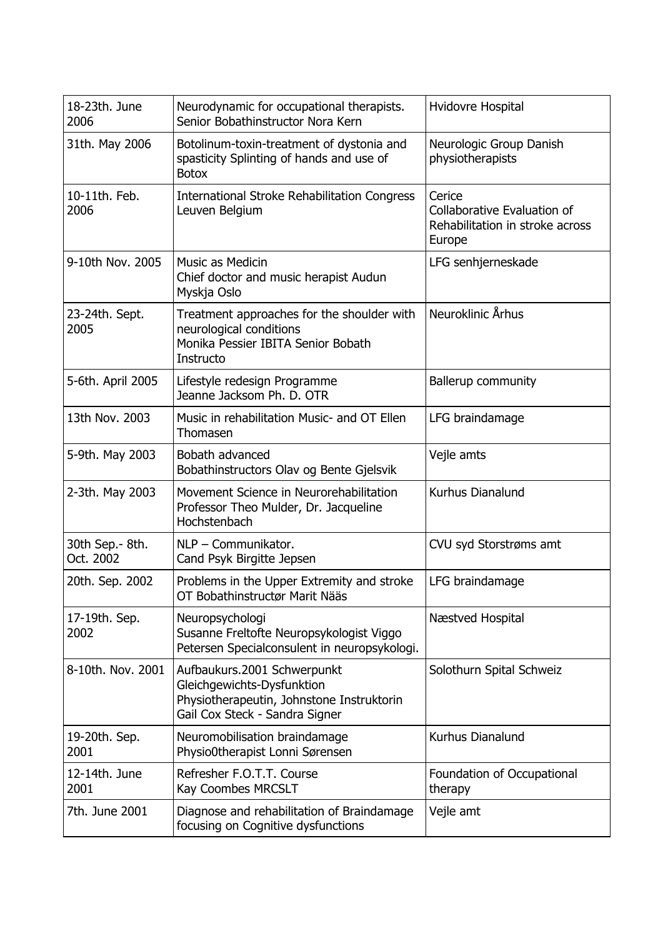| 18-23th. June<br>2006        | Neurodynamic for occupational therapists.<br>Senior Bobathinstructor Nora Kern                                                           | Hvidovre Hospital                                                                  |
|------------------------------|------------------------------------------------------------------------------------------------------------------------------------------|------------------------------------------------------------------------------------|
| 31th. May 2006               | Botolinum-toxin-treatment of dystonia and<br>spasticity Splinting of hands and use of<br><b>Botox</b>                                    | Neurologic Group Danish<br>physiotherapists                                        |
| 10-11th. Feb.<br>2006        | <b>International Stroke Rehabilitation Congress</b><br>Leuven Belgium                                                                    | Cerice<br>Collaborative Evaluation of<br>Rehabilitation in stroke across<br>Europe |
| 9-10th Nov. 2005             | Music as Medicin<br>Chief doctor and music herapist Audun<br>Myskja Oslo                                                                 | LFG senhjerneskade                                                                 |
| 23-24th. Sept.<br>2005       | Treatment approaches for the shoulder with<br>neurological conditions<br>Monika Pessier IBITA Senior Bobath<br>Instructo                 | Neuroklinic Århus                                                                  |
| 5-6th. April 2005            | Lifestyle redesign Programme<br>Jeanne Jacksom Ph. D. OTR                                                                                | <b>Ballerup community</b>                                                          |
| 13th Nov. 2003               | Music in rehabilitation Music- and OT Ellen<br>Thomasen                                                                                  | LFG braindamage                                                                    |
| 5-9th. May 2003              | Bobath advanced<br>Bobathinstructors Olav og Bente Gjelsvik                                                                              | Vejle amts                                                                         |
| 2-3th. May 2003              | Movement Science in Neurorehabilitation<br>Professor Theo Mulder, Dr. Jacqueline<br>Hochstenbach                                         | Kurhus Dianalund                                                                   |
| 30th Sep.- 8th.<br>Oct. 2002 | NLP - Communikator.<br>Cand Psyk Birgitte Jepsen                                                                                         | CVU syd Storstrøms amt                                                             |
| 20th. Sep. 2002              | Problems in the Upper Extremity and stroke<br>OT Bobathinstructør Marit Nääs                                                             | LFG braindamage                                                                    |
| 17-19th. Sep.<br>2002        | Neuropsychologi<br>Susanne Freltofte Neuropsykologist Viggo<br>Petersen Specialconsulent in neuropsykologi.                              | Næstved Hospital                                                                   |
| 8-10th. Nov. 2001            | Aufbaukurs.2001 Schwerpunkt<br>Gleichgewichts-Dysfunktion<br>Physiotherapeutin, Johnstone Instruktorin<br>Gail Cox Steck - Sandra Signer | Solothurn Spital Schweiz                                                           |
| 19-20th. Sep.<br>2001        | Neuromobilisation braindamage<br>Physio0therapist Lonni Sørensen                                                                         | Kurhus Dianalund                                                                   |
| 12-14th. June<br>2001        | Refresher F.O.T.T. Course<br><b>Kay Coombes MRCSLT</b>                                                                                   | Foundation of Occupational<br>therapy                                              |
| 7th. June 2001               | Diagnose and rehabilitation of Braindamage<br>focusing on Cognitive dysfunctions                                                         | Vejle amt                                                                          |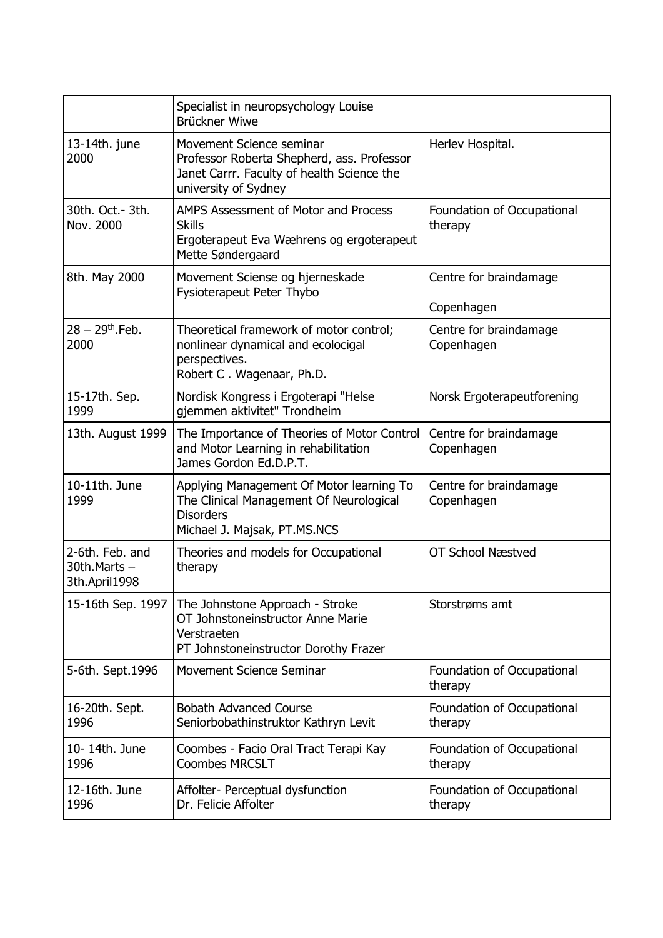|                                                        | Specialist in neuropsychology Louise<br>Brückner Wiwe                                                                                        |                                       |
|--------------------------------------------------------|----------------------------------------------------------------------------------------------------------------------------------------------|---------------------------------------|
| 13-14th. june<br>2000                                  | Movement Science seminar<br>Professor Roberta Shepherd, ass. Professor<br>Janet Carrr. Faculty of health Science the<br>university of Sydney | Herlev Hospital.                      |
| 30th. Oct. - 3th.<br>Nov. 2000                         | AMPS Assessment of Motor and Process<br><b>Skills</b><br>Ergoterapeut Eva Wæhrens og ergoterapeut<br>Mette Søndergaard                       | Foundation of Occupational<br>therapy |
| 8th. May 2000                                          | Movement Sciense og hjerneskade<br><b>Fysioterapeut Peter Thybo</b>                                                                          | Centre for braindamage<br>Copenhagen  |
| $28 - 29$ <sup>th</sup> Feb.<br>2000                   | Theoretical framework of motor control;<br>nonlinear dynamical and ecolocigal<br>perspectives.<br>Robert C. Wagenaar, Ph.D.                  | Centre for braindamage<br>Copenhagen  |
| 15-17th. Sep.<br>1999                                  | Nordisk Kongress i Ergoterapi "Helse<br>gjemmen aktivitet" Trondheim                                                                         | Norsk Ergoterapeutforening            |
| 13th. August 1999                                      | The Importance of Theories of Motor Control<br>and Motor Learning in rehabilitation<br>James Gordon Ed.D.P.T.                                | Centre for braindamage<br>Copenhagen  |
| 10-11th. June<br>1999                                  | Applying Management Of Motor learning To<br>The Clinical Management Of Neurological<br><b>Disorders</b><br>Michael J. Majsak, PT.MS.NCS      | Centre for braindamage<br>Copenhagen  |
| 2-6th. Feb. and<br>$30th$ . Marts $-$<br>3th.April1998 | Theories and models for Occupational<br>therapy                                                                                              | <b>OT School Næstved</b>              |
| 15-16th Sep. 1997                                      | The Johnstone Approach - Stroke<br>OT Johnstoneinstructor Anne Marie<br>Verstraeten<br>PT Johnstoneinstructor Dorothy Frazer                 | Storstrøms amt                        |
| 5-6th. Sept. 1996                                      | Movement Science Seminar                                                                                                                     | Foundation of Occupational<br>therapy |
| 16-20th. Sept.<br>1996                                 | <b>Bobath Advanced Course</b><br>Seniorbobathinstruktor Kathryn Levit                                                                        | Foundation of Occupational<br>therapy |
| 10-14th. June<br>1996                                  | Coombes - Facio Oral Tract Terapi Kay<br><b>Coombes MRCSLT</b>                                                                               | Foundation of Occupational<br>therapy |
| 12-16th. June<br>1996                                  | Affolter- Perceptual dysfunction<br>Dr. Felicie Affolter                                                                                     | Foundation of Occupational<br>therapy |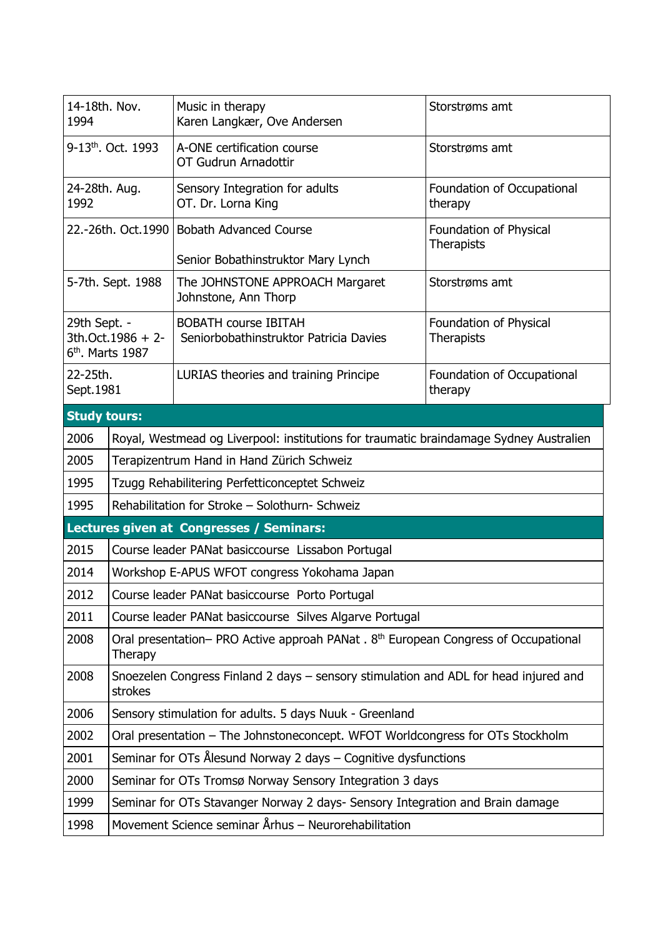| 14-18th. Nov.<br>1994                    |                                                                                                            | Music in therapy<br>Karen Langkær, Ove Andersen                       | Storstrøms amt                              |
|------------------------------------------|------------------------------------------------------------------------------------------------------------|-----------------------------------------------------------------------|---------------------------------------------|
| 9-13 <sup>th</sup> . Oct. 1993           |                                                                                                            | A-ONE certification course<br>OT Gudrun Arnadottir                    | Storstrøms amt                              |
| 24-28th. Aug.<br>1992                    |                                                                                                            | Sensory Integration for adults<br>OT. Dr. Lorna King                  | Foundation of Occupational<br>therapy       |
| 22.-26th. Oct. 1990                      |                                                                                                            | <b>Bobath Advanced Course</b>                                         | Foundation of Physical<br><b>Therapists</b> |
|                                          |                                                                                                            | Senior Bobathinstruktor Mary Lynch                                    |                                             |
| 5-7th. Sept. 1988                        |                                                                                                            | The JOHNSTONE APPROACH Margaret<br>Johnstone, Ann Thorp               | Storstrøms amt                              |
| 29th Sept. -                             | 3th.Oct.1986 + 2-<br>6 <sup>th</sup> . Marts 1987                                                          | <b>BOBATH course IBITAH</b><br>Seniorbobathinstruktor Patricia Davies | Foundation of Physical<br>Therapists        |
| 22-25th.<br>Sept.1981                    |                                                                                                            | LURIAS theories and training Principe                                 | Foundation of Occupational<br>therapy       |
| <b>Study tours:</b>                      |                                                                                                            |                                                                       |                                             |
| 2006                                     | Royal, Westmead og Liverpool: institutions for traumatic braindamage Sydney Australien                     |                                                                       |                                             |
| 2005                                     | Terapizentrum Hand in Hand Zürich Schweiz                                                                  |                                                                       |                                             |
| 1995                                     | Tzugg Rehabilitering Perfetticonceptet Schweiz                                                             |                                                                       |                                             |
| 1995                                     | Rehabilitation for Stroke - Solothurn- Schweiz                                                             |                                                                       |                                             |
| Lectures given at Congresses / Seminars: |                                                                                                            |                                                                       |                                             |
| 2015                                     | Course leader PANat basiccourse Lissabon Portugal                                                          |                                                                       |                                             |
| 2014                                     | Workshop E-APUS WFOT congress Yokohama Japan                                                               |                                                                       |                                             |
| 2012                                     | Course leader PANat basiccourse Porto Portugal                                                             |                                                                       |                                             |
| 2011                                     | Course leader PANat basiccourse Silves Algarve Portugal                                                    |                                                                       |                                             |
| 2008                                     | Oral presentation- PRO Active approah PANat . 8 <sup>th</sup> European Congress of Occupational<br>Therapy |                                                                       |                                             |
| 2008                                     | Snoezelen Congress Finland 2 days - sensory stimulation and ADL for head injured and<br>strokes            |                                                                       |                                             |
| 2006                                     | Sensory stimulation for adults. 5 days Nuuk - Greenland                                                    |                                                                       |                                             |
| 2002                                     | Oral presentation - The Johnstoneconcept. WFOT Worldcongress for OTs Stockholm                             |                                                                       |                                             |
| 2001                                     | Seminar for OTs Ålesund Norway 2 days - Cognitive dysfunctions                                             |                                                                       |                                             |
| 2000                                     | Seminar for OTs Tromsø Norway Sensory Integration 3 days                                                   |                                                                       |                                             |
| 1999                                     | Seminar for OTs Stavanger Norway 2 days- Sensory Integration and Brain damage                              |                                                                       |                                             |
| 1998                                     | Movement Science seminar Århus - Neurorehabilitation                                                       |                                                                       |                                             |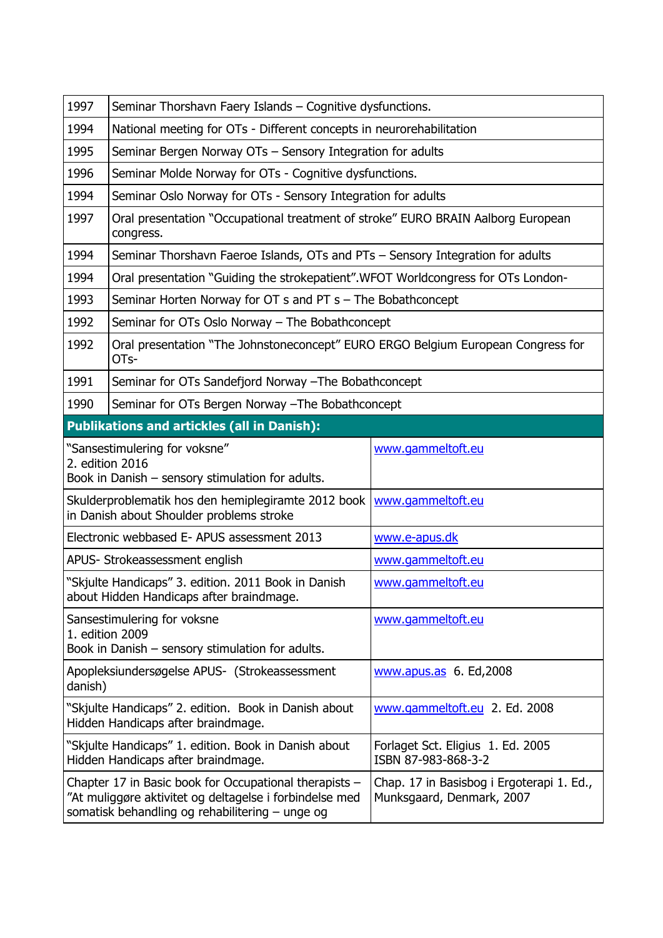| 1997                                                                                                                                                                 | Seminar Thorshavn Faery Islands - Cognitive dysfunctions.                                                                 |                                                                        |  |
|----------------------------------------------------------------------------------------------------------------------------------------------------------------------|---------------------------------------------------------------------------------------------------------------------------|------------------------------------------------------------------------|--|
| 1994                                                                                                                                                                 | National meeting for OTs - Different concepts in neurorehabilitation                                                      |                                                                        |  |
| 1995                                                                                                                                                                 | Seminar Bergen Norway OTs - Sensory Integration for adults                                                                |                                                                        |  |
| 1996                                                                                                                                                                 | Seminar Molde Norway for OTs - Cognitive dysfunctions.                                                                    |                                                                        |  |
| 1994                                                                                                                                                                 | Seminar Oslo Norway for OTs - Sensory Integration for adults                                                              |                                                                        |  |
| 1997                                                                                                                                                                 | Oral presentation "Occupational treatment of stroke" EURO BRAIN Aalborg European<br>congress.                             |                                                                        |  |
| 1994                                                                                                                                                                 | Seminar Thorshavn Faeroe Islands, OTs and PTs - Sensory Integration for adults                                            |                                                                        |  |
| 1994                                                                                                                                                                 | Oral presentation "Guiding the strokepatient". WFOT Worldcongress for OTs London-                                         |                                                                        |  |
| 1993                                                                                                                                                                 | Seminar Horten Norway for OT s and PT s - The Bobathconcept                                                               |                                                                        |  |
| 1992                                                                                                                                                                 | Seminar for OTs Oslo Norway - The Bobathconcept                                                                           |                                                                        |  |
| 1992                                                                                                                                                                 | Oral presentation "The Johnstoneconcept" EURO ERGO Belgium European Congress for<br>OT <sub>S</sub> -                     |                                                                        |  |
| 1991                                                                                                                                                                 | Seminar for OTs Sandefjord Norway - The Bobathconcept                                                                     |                                                                        |  |
| 1990                                                                                                                                                                 | Seminar for OTs Bergen Norway - The Bobathconcept                                                                         |                                                                        |  |
| <b>Publikations and artickles (all in Danish):</b>                                                                                                                   |                                                                                                                           |                                                                        |  |
|                                                                                                                                                                      | "Sansestimulering for voksne"<br>www.gammeltoft.eu<br>2. edition 2016<br>Book in Danish - sensory stimulation for adults. |                                                                        |  |
| Skulderproblematik hos den hemiplegiramte 2012 book<br>www.gammeltoft.eu<br>in Danish about Shoulder problems stroke                                                 |                                                                                                                           |                                                                        |  |
|                                                                                                                                                                      | Electronic webbased E- APUS assessment 2013                                                                               | www.e-apus.dk                                                          |  |
| APUS- Strokeassessment english                                                                                                                                       |                                                                                                                           | www.gammeltoft.eu                                                      |  |
| "Skjulte Handicaps" 3. edition. 2011 Book in Danish<br>about Hidden Handicaps after braindmage.                                                                      |                                                                                                                           | www.gammeltoft.eu                                                      |  |
| Sansestimulering for voksne<br>www.gammeltoft.eu<br>1. edition 2009<br>Book in Danish - sensory stimulation for adults.                                              |                                                                                                                           |                                                                        |  |
| Apopleksiundersøgelse APUS- (Strokeassessment<br>www.apus.as 6. Ed, 2008<br>danish)                                                                                  |                                                                                                                           |                                                                        |  |
| "Skjulte Handicaps" 2. edition. Book in Danish about<br>Hidden Handicaps after braindmage.                                                                           |                                                                                                                           | www.gammeltoft.eu 2. Ed. 2008                                          |  |
| "Skjulte Handicaps" 1. edition. Book in Danish about<br>Forlaget Sct. Eligius 1. Ed. 2005<br>ISBN 87-983-868-3-2<br>Hidden Handicaps after braindmage.               |                                                                                                                           |                                                                        |  |
| Chapter 17 in Basic book for Occupational therapists -<br>"At muliggøre aktivitet og deltagelse i forbindelse med<br>somatisk behandling og rehabilitering – unge og |                                                                                                                           | Chap. 17 in Basisbog i Ergoterapi 1. Ed.,<br>Munksgaard, Denmark, 2007 |  |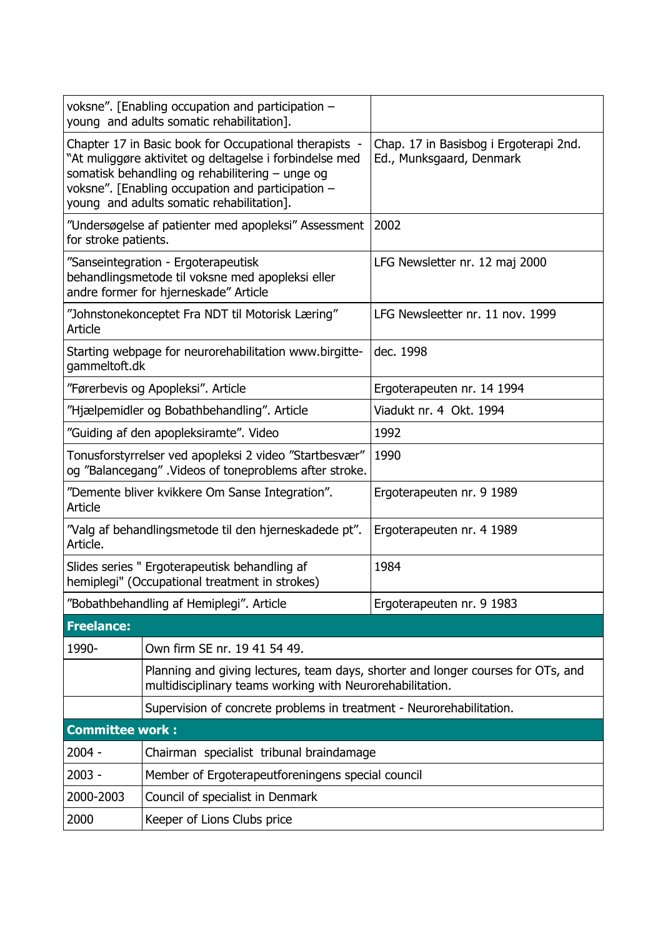|                                                                                                                                  | voksne". [Enabling occupation and participation –<br>young and adults somatic rehabilitation].                                                                                                                                                                         |                                                                    |  |  |
|----------------------------------------------------------------------------------------------------------------------------------|------------------------------------------------------------------------------------------------------------------------------------------------------------------------------------------------------------------------------------------------------------------------|--------------------------------------------------------------------|--|--|
|                                                                                                                                  | Chapter 17 in Basic book for Occupational therapists -<br>"At muliggøre aktivitet og deltagelse i forbindelse med<br>somatisk behandling og rehabilitering - unge og<br>voksne". [Enabling occupation and participation -<br>young and adults somatic rehabilitation]. | Chap. 17 in Basisbog i Ergoterapi 2nd.<br>Ed., Munksgaard, Denmark |  |  |
| "Undersøgelse af patienter med apopleksi" Assessment<br>for stroke patients.                                                     |                                                                                                                                                                                                                                                                        | 2002                                                               |  |  |
| "Sanseintegration - Ergoterapeutisk<br>behandlingsmetode til voksne med apopleksi eller<br>andre former for hjerneskade" Article |                                                                                                                                                                                                                                                                        | LFG Newsletter nr. 12 maj 2000                                     |  |  |
| Article                                                                                                                          | "Johnstonekonceptet Fra NDT til Motorisk Læring"                                                                                                                                                                                                                       | LFG Newsleetter nr. 11 nov. 1999                                   |  |  |
| Starting webpage for neurorehabilitation www.birgitte-<br>gammeltoft.dk                                                          |                                                                                                                                                                                                                                                                        | dec. 1998                                                          |  |  |
|                                                                                                                                  | "Førerbevis og Apopleksi". Article                                                                                                                                                                                                                                     | Ergoterapeuten nr. 14 1994                                         |  |  |
|                                                                                                                                  | "Hjælpemidler og Bobathbehandling". Article                                                                                                                                                                                                                            | Viadukt nr. 4 Okt. 1994                                            |  |  |
| "Guiding af den apopleksiramte". Video                                                                                           |                                                                                                                                                                                                                                                                        | 1992                                                               |  |  |
| Tonusforstyrrelser ved apopleksi 2 video "Startbesvær"<br>og "Balancegang". Videos of toneproblems after stroke.                 |                                                                                                                                                                                                                                                                        | 1990                                                               |  |  |
| "Demente bliver kvikkere Om Sanse Integration".<br>Article                                                                       |                                                                                                                                                                                                                                                                        | Ergoterapeuten nr. 9 1989                                          |  |  |
| "Valg af behandlingsmetode til den hjerneskadede pt".<br>Article.                                                                |                                                                                                                                                                                                                                                                        | Ergoterapeuten nr. 4 1989                                          |  |  |
| Slides series " Ergoterapeutisk behandling af<br>hemiplegi" (Occupational treatment in strokes)                                  |                                                                                                                                                                                                                                                                        | 1984                                                               |  |  |
| "Bobathbehandling af Hemiplegi". Article                                                                                         |                                                                                                                                                                                                                                                                        | Ergoterapeuten nr. 9 1983                                          |  |  |
| <b>Freelance:</b>                                                                                                                |                                                                                                                                                                                                                                                                        |                                                                    |  |  |
| 1990-                                                                                                                            | Own firm SE nr. 19 41 54 49.                                                                                                                                                                                                                                           |                                                                    |  |  |
|                                                                                                                                  | Planning and giving lectures, team days, shorter and longer courses for OTs, and<br>multidisciplinary teams working with Neurorehabilitation.                                                                                                                          |                                                                    |  |  |
| Supervision of concrete problems in treatment - Neurorehabilitation.                                                             |                                                                                                                                                                                                                                                                        |                                                                    |  |  |
| <b>Committee work:</b>                                                                                                           |                                                                                                                                                                                                                                                                        |                                                                    |  |  |
| $2004 -$                                                                                                                         | Chairman specialist tribunal braindamage                                                                                                                                                                                                                               |                                                                    |  |  |
| $2003 -$                                                                                                                         | Member of Ergoterapeutforeningens special council                                                                                                                                                                                                                      |                                                                    |  |  |
| 2000-2003                                                                                                                        | Council of specialist in Denmark                                                                                                                                                                                                                                       |                                                                    |  |  |
| 2000<br>Keeper of Lions Clubs price                                                                                              |                                                                                                                                                                                                                                                                        |                                                                    |  |  |